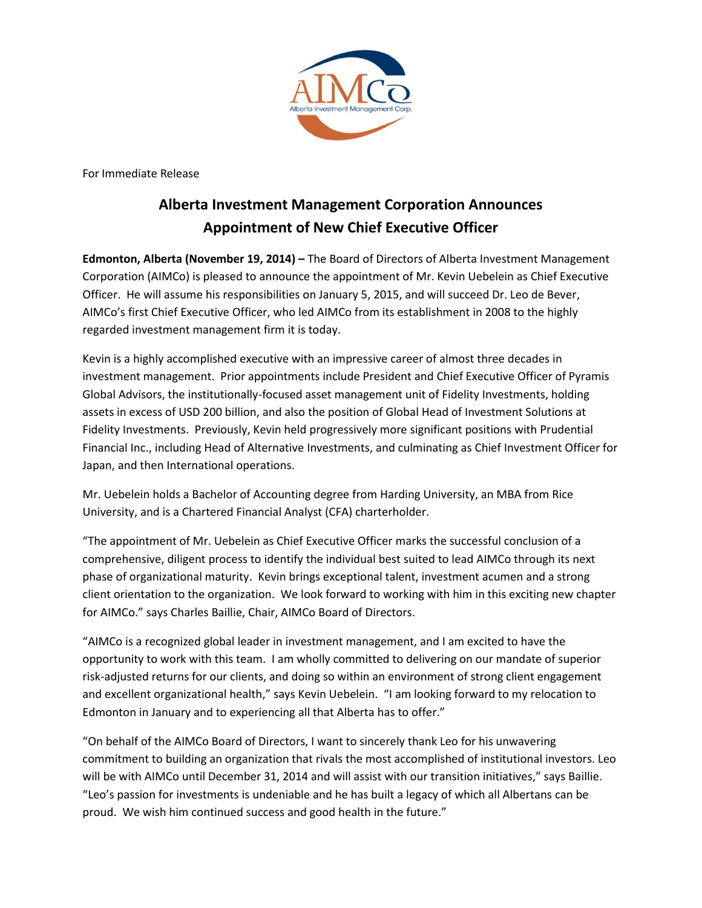

For Immediate Release

## **Alberta Investment Management Corporation Announces Appointment of New Chief Executive Officer**

**Edmonton, Alberta (November 19, 2014) –** The Board of Directors of Alberta Investment Management Corporation (AIMCo) is pleased to announce the appointment of Mr. Kevin Uebelein as Chief Executive Officer. He will assume his responsibilities on January 5, 2015, and will succeed Dr. Leo de Bever, AIMCo's first Chief Executive Officer, who led AIMCo from its establishment in 2008 to the highly regarded investment management firm it is today.

Kevin is a highly accomplished executive with an impressive career of almost three decades in investment management. Prior appointments include President and Chief Executive Officer of Pyramis Global Advisors, the institutionally-focused asset management unit of Fidelity Investments, holding assets in excess of USD 200 billion, and also the position of Global Head of Investment Solutions at Fidelity Investments. Previously, Kevin held progressively more significant positions with Prudential Financial Inc., including Head of Alternative Investments, and culminating as Chief Investment Officer for Japan, and then International operations.

Mr. Uebelein holds a Bachelor of Accounting degree from Harding University, an MBA from Rice University, and is a Chartered Financial Analyst (CFA) charterholder.

"The appointment of Mr. Uebelein as Chief Executive Officer marks the successful conclusion of a comprehensive, diligent process to identify the individual best suited to lead AIMCo through its next phase of organizational maturity. Kevin brings exceptional talent, investment acumen and a strong client orientation to the organization. We look forward to working with him in this exciting new chapter for AIMCo." says Charles Baillie, Chair, AIMCo Board of Directors.

"AIMCo is a recognized global leader in investment management, and I am excited to have the opportunity to work with this team. I am wholly committed to delivering on our mandate of superior risk-adjusted returns for our clients, and doing so within an environment of strong client engagement and excellent organizational health," says Kevin Uebelein. "I am looking forward to my relocation to Edmonton in January and to experiencing all that Alberta has to offer."

"On behalf of the AIMCo Board of Directors, I want to sincerely thank Leo for his unwavering commitment to building an organization that rivals the most accomplished of institutional investors. Leo will be with AIMCo until December 31, 2014 and will assist with our transition initiatives," says Baillie. "Leo's passion for investments is undeniable and he has built a legacy of which all Albertans can be proud. We wish him continued success and good health in the future."